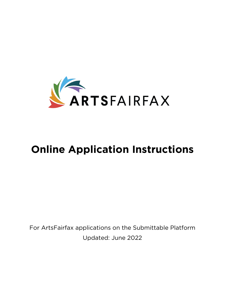

# **Online Application Instructions**

For ArtsFairfax applications on the Submittable Platform Updated: June 2022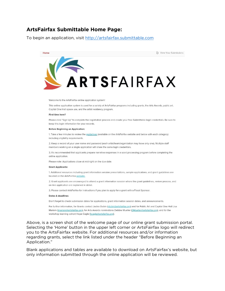### **ArtsFairfax Submittable Home Page:**

To begin an application, visit [http://artsfairfax.submittable.com](http://artsfairfax.submittable.com/)



Welcome to the ArtsFairfax online application system!

This online application system is used for a variety of ArtsFairfax programs including grants, the Arts Awards, public art, Capital One Hall space use, and the artist residency program.

#### First time here?

Please click "Sign Up" to complete the registration process and create your free Submittable login credentials. Be sure to keep this login information for your records.

#### **Before Beginning an Application:**

1. Take a few minutes to review the guidelines (available on the ArtsFairfax website and below with each category) including eligibility requirements.

2. Keep a record of your user name and password (each artist/team/organization may have only one). Multiple staff members working on a single application will share the same login credentials.

3. It's recommended that applicants prepare narrative responses in a word processing program before completing the online application.

Please note: Applications close at midnight on the due date.

#### **Grant Applicants:**

1. Additional resources including grant information session presentations, sample applications, and grant guidelines are located on the ArtsFairfax website.

2. Grant applicants are encouraged to attend a grant information session where the grant guidelines, review process, and on-line application are explained in detail.

3. Please contact ArtsFairfax for instructions if you plan to apply for a grant with a Fiscal Sponsor.

#### Dates & deadlines

Don't forget to check submission dates for applications, grant information session dates, and announcements.

For further information, for Grants contact Jackie Dubin (jdubin@artsfairfax.org) and for Public Art and Capital One Hall Lisa Mariam (Imariam@artsfairfax.org), for Arts Awards nominations Debbie Mueller (DMueller@artsfairfax.org), and for the workshop learning cohort Hope Cagle (hcagle@artsfairfax.org).

Above, is a screen shot of the welcome page of our online grant submission portal. Selecting the 'Home' button in the upper left corner or ArtsFairfax logo will redirect you to the ArtsFairfax website. For additional resources and/or information regarding grants, select the link listed under the header "Before Beginning an Application."

Blank applications and tables are available to download on ArtsFairfax's website, but only information submitted through the online application will be reviewed.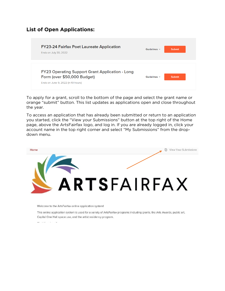# **List of Open Applications:**

| <b>FY23-24 Fairfax Poet Laureate Application</b><br>Ends on July 30, 2022                                                   | Guidelines $\vee$ | <b>Submit</b> |
|-----------------------------------------------------------------------------------------------------------------------------|-------------------|---------------|
| <b>FY23 Operating Support Grant Application - Long</b><br>Form (over \$50,000 Budget)<br>Ends on June 9, 2022 (in 10 hours) | Guidelines $\vee$ | <b>Submit</b> |

To apply for a grant, scroll to the bottom of the page and select the grant name or orange "submit" button. This list updates as applications open and close throughout the year.

To access an application that has already been submitted or return to an application you started, click the "View your Submissions" button at the top right of the Home page, above the ArtsFairfax logo, and log in. If you are already logged in, click your account name in the top right corner and select "My Submissions" from the dropdown menu.



Welcome to the ArtsFairfax online application system!

This online application system is used for a variety of ArtsFairfax programs including grants, the Arts Awards, public art, Capital One Hall space use, and the artist residency program.

 $-1$  and  $-1$  and  $-1$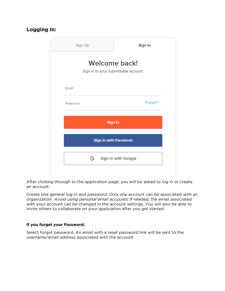# **Logging In:**

| Sign Up                                                      | Sign In                      |  |  |  |  |  |
|--------------------------------------------------------------|------------------------------|--|--|--|--|--|
| <b>Welcome back!</b><br>Sign in to your Submittable account. |                              |  |  |  |  |  |
| Email                                                        |                              |  |  |  |  |  |
| Password                                                     | Forgot?                      |  |  |  |  |  |
| Sign In                                                      |                              |  |  |  |  |  |
|                                                              | <b>Sign in with Facebook</b> |  |  |  |  |  |
|                                                              | Sign in with Google          |  |  |  |  |  |

After clicking through to the application page, you will be asked to log in or create an account.

Create one general log-in and password. Only one account can be associated with an organization. Avoid using personal email accounts. If needed, the email associated with your account can be changed in the account settings. You will also be able to invite others to collaborate on your application after you get started.

#### **If you forget your Password:**

Select forgot password. An email with a reset password link will be sent to the username/email address associated with the account.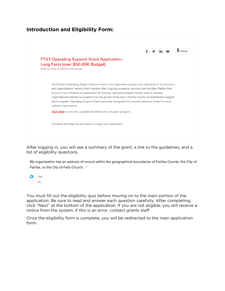### **Introduction and Eligibility Form:**



After logging in, you will see a summary of the grant, a link to the guidelines, and a list of eligibility questions.

My organization has an address of record within the geographical boundaries of Fairfax County, the City of Fairfax, or the City of Falls Church. \*



You must fill out the eligibility quiz before moving on to the main portion of the application. Be sure to read and answer each question carefully. After completing, click "Next" at the bottom of the application. If you are not eligible, you will receive a notice from the system. If this is an error, contact grants staff.

Once the eligibility form is complete, you will be redirected to the main application form.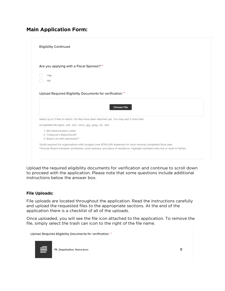# **Main Application Form:**

| <b>Eligibility Continued</b>   |                                                                                                                 |
|--------------------------------|-----------------------------------------------------------------------------------------------------------------|
|                                | Are you applying with a Fiscal Sponsor? *                                                                       |
| Yes                            |                                                                                                                 |
| <b>No</b>                      |                                                                                                                 |
|                                | Upload Required Eligibility Documents for verification: *                                                       |
|                                | <b>Choose File</b>                                                                                              |
|                                | Select up to 3 files to attach. No files have been attached yet. You may add 3 more files.                      |
| 1. IRS Determination Letter    | Acceptable file types: .pdf, .doc, .docx, .jpg, .jpeg, .xls, .xlsx                                              |
| 2. Treasurer's Report/Audit*   |                                                                                                                 |
| 3. Board List with addresses** |                                                                                                                 |
|                                | *Audit required for organizations with budgets over \$750,000 expenses for most recently completed fiscal year. |

Upload the required eligibility documents for verification and continue to scroll down to proceed with the application. Please note that some questions include additional instructions below the answer box.

#### **File Uploads:**

File uploads are located throughout the application. Read the instructions carefully and upload the requested files to the appropriate sections. At the end of the application there is a checklist of all of the uploads.

Once uploaded, you will see the file icon attached to the application. To remove the file, simply select the trash can icon to the right of the file name.

Upload Required Eligibility Documents for verification: \*



**TR\_Organization\_Name.docx**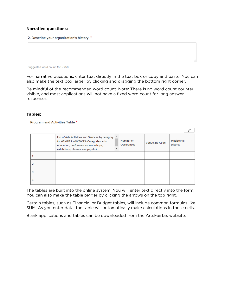#### **Narrative questions:**

2. Describe your organization's history. \*

Suggested word count: 150 - 250

For narrative questions, enter text directly in the text box or copy and paste. You can also make the text box larger by clicking and dragging the bottom right corner.

Be mindful of the recommended word count. Note: There is no word count counter visible, and most applications will not have a fixed word count for long answer responses.

#### **Tables:**

Program and Activities Table \*

|   | List of Arts Activities and Services by category<br>for 07/01/22 - 06/30/23 (Categories: arts<br>education, performances, workshops,<br>exhibitions, classes, camps, etc.) | 盀 | Number of<br>Occurances | Venue Zip Code | Magisterial<br><b>District</b> |
|---|----------------------------------------------------------------------------------------------------------------------------------------------------------------------------|---|-------------------------|----------------|--------------------------------|
|   |                                                                                                                                                                            |   |                         |                |                                |
|   |                                                                                                                                                                            |   |                         |                |                                |
| 3 |                                                                                                                                                                            |   |                         |                |                                |
|   |                                                                                                                                                                            |   |                         |                |                                |

The tables are built into the online system. You will enter text directly into the form. You can also make the table bigger by clicking the arrows on the top right.

Certain tables, such as Financial or Budget tables, will include common formulas like SUM. As you enter data, the table will automatically make calculations in these cells.

Blank applications and tables can be downloaded from the ArtsFairfax website.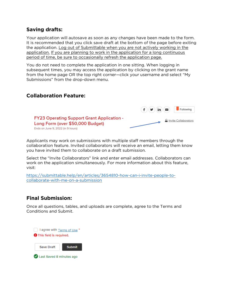### **Saving drafts:**

Your application will autosave as soon as any changes have been made to the form. It is recommended that you click save draft at the bottom of the page before exiting the application. Log out of Submittable when you are not actively working in the application. If you are planning to work in the application for a long continuous period of time, be sure to occasionally refresh the application page.

You do not need to complete the application in one sitting. When logging in subsequent times, you may access the application by clicking on the grant name from the home page OR the top right corner—click your username and select "My Submissions" from the drop-down menu.

# **Collaboration Feature:**



Applicants may work on submissions with multiple staff members through the collaboration feature. Invited collaborators will receive an email, letting them know you have invited them to collaborate on a draft submission.

Select the "Invite Collaborators" link and enter email addresses. Collaborators can work on the application simultaneously. For more information about this feature, visit:

[https://submittable.help/en/articles/3654810-how-can-i-invite-people-to](https://submittable.help/en/articles/3654810-how-can-i-invite-people-to-collaborate-with-me-on-a-submission)[collaborate-with-me-on-a-submission](https://submittable.help/en/articles/3654810-how-can-i-invite-people-to-collaborate-with-me-on-a-submission)

# **Final Submission:**

Once all questions, tables, and uploads are complete, agree to the Terms and Conditions and Submit.